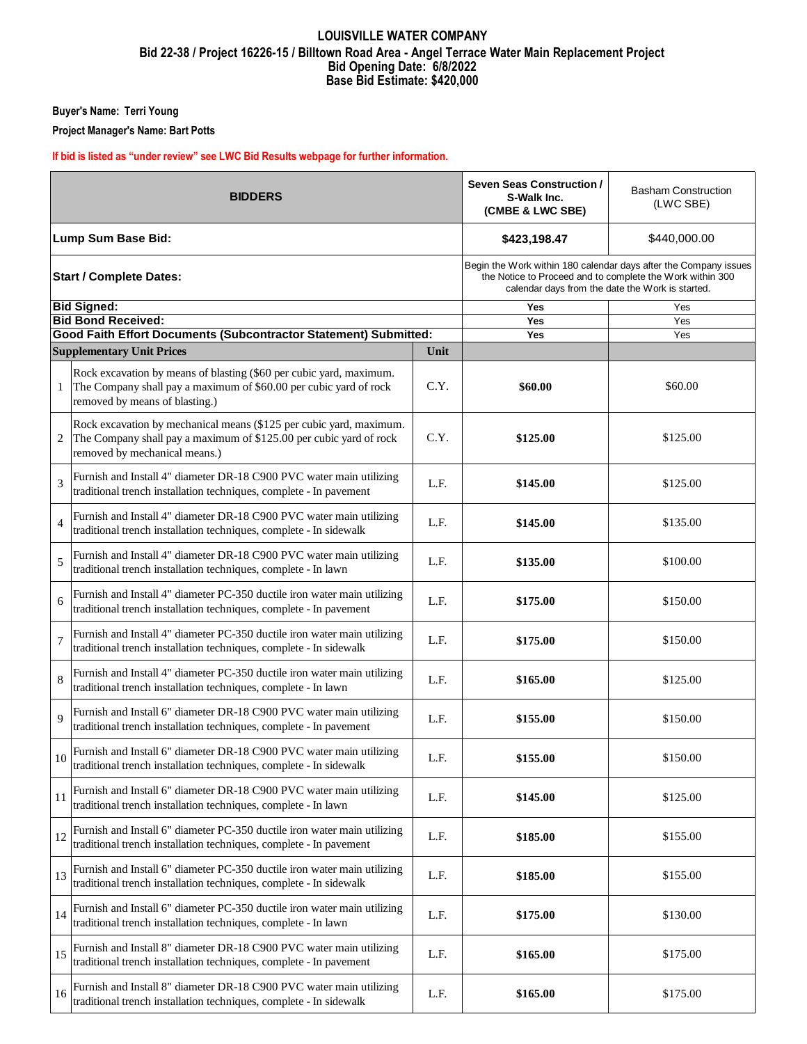### **LOUISVILLE WATER COMPANY Bid 22-38 / Project 16226-15 / Billtown Road Area - Angel Terrace Water Main Replacement Project Bid Opening Date: 6/8/2022 Base Bid Estimate: \$420,000**

**Buyer's Name: Terri Young**

**Project Manager's Name: Bart Potts**

# **If bid is listed as "under review" see LWC Bid Results webpage for further information.**

| <b>BIDDERS</b>     |                                                                                                                                                                            |                                                                                                                                                                                   | <b>Seven Seas Construction /</b><br>S-Walk Inc.<br>(CMBE & LWC SBE) | <b>Basham Construction</b><br>(LWC SBE) |
|--------------------|----------------------------------------------------------------------------------------------------------------------------------------------------------------------------|-----------------------------------------------------------------------------------------------------------------------------------------------------------------------------------|---------------------------------------------------------------------|-----------------------------------------|
| Lump Sum Base Bid: |                                                                                                                                                                            |                                                                                                                                                                                   | \$423,198.47                                                        | \$440,000.00                            |
|                    | <b>Start / Complete Dates:</b>                                                                                                                                             | Begin the Work within 180 calendar days after the Company issues<br>the Notice to Proceed and to complete the Work within 300<br>calendar days from the date the Work is started. |                                                                     |                                         |
|                    | <b>Bid Signed:</b>                                                                                                                                                         |                                                                                                                                                                                   | Yes                                                                 | Yes                                     |
|                    | <b>Bid Bond Received:</b>                                                                                                                                                  |                                                                                                                                                                                   | <b>Yes</b>                                                          | Yes                                     |
|                    | Good Faith Effort Documents (Subcontractor Statement) Submitted:                                                                                                           |                                                                                                                                                                                   | <b>Yes</b>                                                          | Yes                                     |
|                    | <b>Supplementary Unit Prices</b>                                                                                                                                           | Unit                                                                                                                                                                              |                                                                     |                                         |
| 1                  | Rock excavation by means of blasting (\$60 per cubic yard, maximum.<br>The Company shall pay a maximum of \$60.00 per cubic yard of rock<br>removed by means of blasting.) | C.Y.                                                                                                                                                                              | \$60.00                                                             | \$60.00                                 |
| 2                  | Rock excavation by mechanical means (\$125 per cubic yard, maximum.<br>The Company shall pay a maximum of \$125.00 per cubic yard of rock<br>removed by mechanical means.) | C.Y.                                                                                                                                                                              | \$125.00                                                            | \$125.00                                |
| 3                  | Furnish and Install 4" diameter DR-18 C900 PVC water main utilizing<br>traditional trench installation techniques, complete - In pavement                                  | L.F.                                                                                                                                                                              | \$145.00                                                            | \$125.00                                |
| $\overline{4}$     | Furnish and Install 4" diameter DR-18 C900 PVC water main utilizing<br>traditional trench installation techniques, complete - In sidewalk                                  | L.F.                                                                                                                                                                              | \$145.00                                                            | \$135.00                                |
| 5                  | Furnish and Install 4" diameter DR-18 C900 PVC water main utilizing<br>traditional trench installation techniques, complete - In lawn                                      | L.F.                                                                                                                                                                              | \$135.00                                                            | \$100.00                                |
| 6                  | Furnish and Install 4" diameter PC-350 ductile iron water main utilizing<br>traditional trench installation techniques, complete - In pavement                             | L.F.                                                                                                                                                                              | \$175.00                                                            | \$150.00                                |
| 7                  | Furnish and Install 4" diameter PC-350 ductile iron water main utilizing<br>traditional trench installation techniques, complete - In sidewalk                             | L.F.                                                                                                                                                                              | \$175.00                                                            | \$150.00                                |
| 8                  | Furnish and Install 4" diameter PC-350 ductile iron water main utilizing<br>traditional trench installation techniques, complete - In lawn                                 | L.F.                                                                                                                                                                              | \$165.00                                                            | \$125.00                                |
| $\mathbf Q$        | Furnish and Install 6" diameter DR-18 C900 PVC water main utilizing<br>traditional trench installation techniques, complete - In pavement                                  | L.F.                                                                                                                                                                              | \$155.00                                                            | \$150.00                                |
| 10                 | Furnish and Install 6" diameter DR-18 C900 PVC water main utilizing<br>traditional trench installation techniques, complete - In sidewalk                                  | L.E                                                                                                                                                                               | \$155.00                                                            | \$150.00                                |
| 11                 | Furnish and Install 6" diameter DR-18 C900 PVC water main utilizing<br>traditional trench installation techniques, complete - In lawn                                      | L.F.                                                                                                                                                                              | \$145.00                                                            | \$125.00                                |
| 12                 | Furnish and Install 6" diameter PC-350 ductile iron water main utilizing<br>traditional trench installation techniques, complete - In pavement                             | L.F.                                                                                                                                                                              | \$185.00                                                            | \$155.00                                |
| 13                 | Furnish and Install 6" diameter PC-350 ductile iron water main utilizing<br>traditional trench installation techniques, complete - In sidewalk                             | L.F.                                                                                                                                                                              | \$185.00                                                            | \$155.00                                |
| 14                 | Furnish and Install 6" diameter PC-350 ductile iron water main utilizing<br>traditional trench installation techniques, complete - In lawn                                 | L.F.                                                                                                                                                                              | \$175.00                                                            | \$130.00                                |
| 15                 | Furnish and Install 8" diameter DR-18 C900 PVC water main utilizing<br>traditional trench installation techniques, complete - In pavement                                  | L.F.                                                                                                                                                                              | \$165.00                                                            | \$175.00                                |
| 16                 | Furnish and Install 8" diameter DR-18 C900 PVC water main utilizing<br>traditional trench installation techniques, complete - In sidewalk                                  | L.F.                                                                                                                                                                              | \$165.00                                                            | \$175.00                                |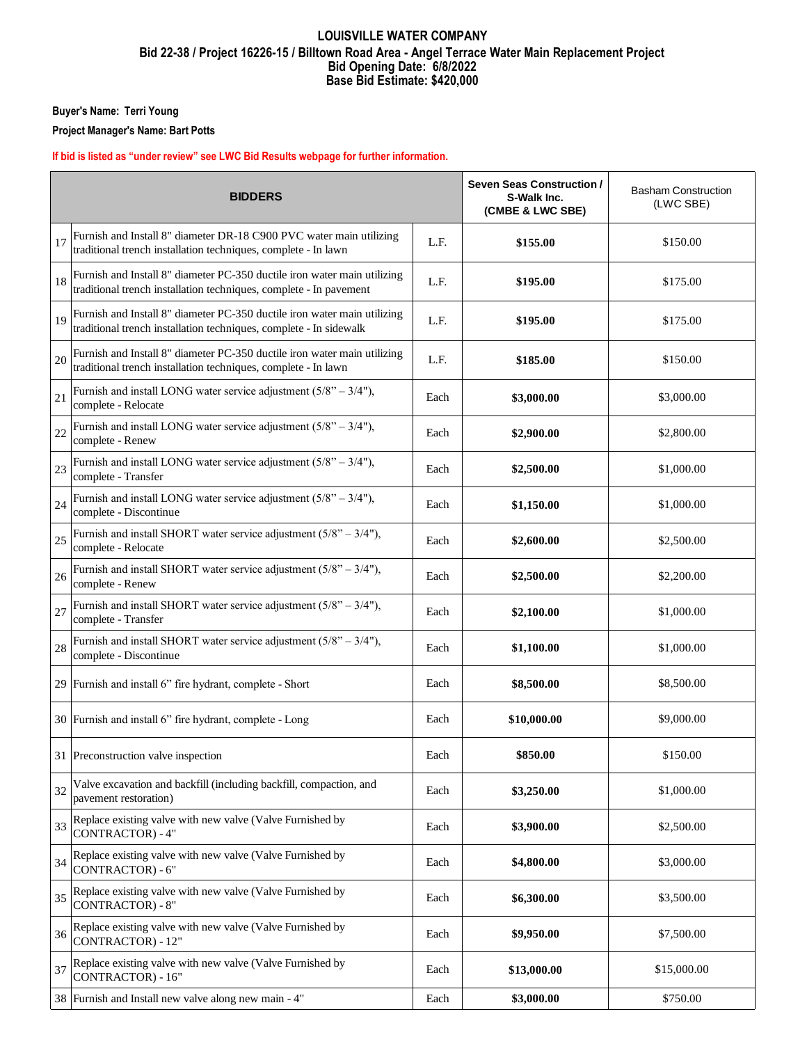### **LOUISVILLE WATER COMPANY Bid 22-38 / Project 16226-15 / Billtown Road Area - Angel Terrace Water Main Replacement Project Bid Opening Date: 6/8/2022 Base Bid Estimate: \$420,000**

**Buyer's Name: Terri Young**

**Project Manager's Name: Bart Potts**

# **If bid is listed as "under review" see LWC Bid Results webpage for further information.**

| <b>BIDDERS</b> |                                                                                                                                                |      | <b>Seven Seas Construction /</b><br>S-Walk Inc.<br>(CMBE & LWC SBE) | <b>Basham Construction</b><br>(LWC SBE) |
|----------------|------------------------------------------------------------------------------------------------------------------------------------------------|------|---------------------------------------------------------------------|-----------------------------------------|
| 17             | Furnish and Install 8" diameter DR-18 C900 PVC water main utilizing<br>traditional trench installation techniques, complete - In lawn          | L.F. | \$155.00                                                            | \$150.00                                |
| 18             | Furnish and Install 8" diameter PC-350 ductile iron water main utilizing<br>traditional trench installation techniques, complete - In pavement | L.F. | \$195.00                                                            | \$175.00                                |
| 19             | Furnish and Install 8" diameter PC-350 ductile iron water main utilizing<br>traditional trench installation techniques, complete - In sidewalk | L.F. | \$195.00                                                            | \$175.00                                |
| 20             | Furnish and Install 8" diameter PC-350 ductile iron water main utilizing<br>traditional trench installation techniques, complete - In lawn     | L.F. | \$185.00                                                            | \$150.00                                |
| 21             | Furnish and install LONG water service adjustment $(5/8" - 3/4")$ ,<br>complete - Relocate                                                     | Each | \$3,000.00                                                          | \$3,000.00                              |
| 22             | Furnish and install LONG water service adjustment $(5/8" - 3/4")$ ,<br>complete - Renew                                                        | Each | \$2,900.00                                                          | \$2,800.00                              |
| 23             | Furnish and install LONG water service adjustment $(5/8 - 3/4)$ ,<br>complete - Transfer                                                       | Each | \$2,500.00                                                          | \$1,000.00                              |
| 24             | Furnish and install LONG water service adjustment $(5/8" - 3/4")$ ,<br>complete - Discontinue                                                  | Each | \$1,150.00                                                          | \$1,000.00                              |
| 25             | Furnish and install SHORT water service adjustment $(5/8" - 3/4")$ ,<br>complete - Relocate                                                    | Each | \$2,600.00                                                          | \$2,500.00                              |
| 26             | Furnish and install SHORT water service adjustment $(5/8 - 3/4)$ ,<br>complete - Renew                                                         | Each | \$2,500.00                                                          | \$2,200.00                              |
| 27             | Furnish and install SHORT water service adjustment $(5/8 - 3/4)$ ,<br>complete - Transfer                                                      | Each | \$2,100.00                                                          | \$1,000.00                              |
| 28             | Furnish and install SHORT water service adjustment $(5/8" - 3/4")$ ,<br>complete - Discontinue                                                 | Each | \$1,100.00                                                          | \$1,000.00                              |
|                | 29 Furnish and install 6" fire hydrant, complete - Short                                                                                       | Each | \$8,500.00                                                          | \$8,500.00                              |
|                | 30 Furnish and install 6" fire hydrant, complete - Long                                                                                        | Each | \$10,000.00                                                         | \$9,000.00                              |
|                | 31 Preconstruction valve inspection                                                                                                            | Each | \$850.00                                                            | \$150.00                                |
| 32             | Valve excavation and backfill (including backfill, compaction, and<br>pavement restoration)                                                    | Each | \$3,250.00                                                          | \$1,000.00                              |
| 33             | Replace existing valve with new valve (Valve Furnished by<br><b>CONTRACTOR</b> ) - 4"                                                          | Each | \$3,900.00                                                          | \$2,500.00                              |
| 34             | Replace existing valve with new valve (Valve Furnished by<br>CONTRACTOR) - 6"                                                                  | Each | \$4,800.00                                                          | \$3,000.00                              |
| 35             | Replace existing valve with new valve (Valve Furnished by<br><b>CONTRACTOR) - 8"</b>                                                           | Each | \$6,300.00                                                          | \$3,500.00                              |
| 36             | Replace existing valve with new valve (Valve Furnished by<br>CONTRACTOR) - 12"                                                                 | Each | \$9,950.00                                                          | \$7,500.00                              |
| 37             | Replace existing valve with new valve (Valve Furnished by<br><b>CONTRACTOR) - 16"</b>                                                          | Each | \$13,000.00                                                         | \$15,000.00                             |
|                | 38 Furnish and Install new valve along new main - 4"                                                                                           | Each | \$3,000.00                                                          | \$750.00                                |